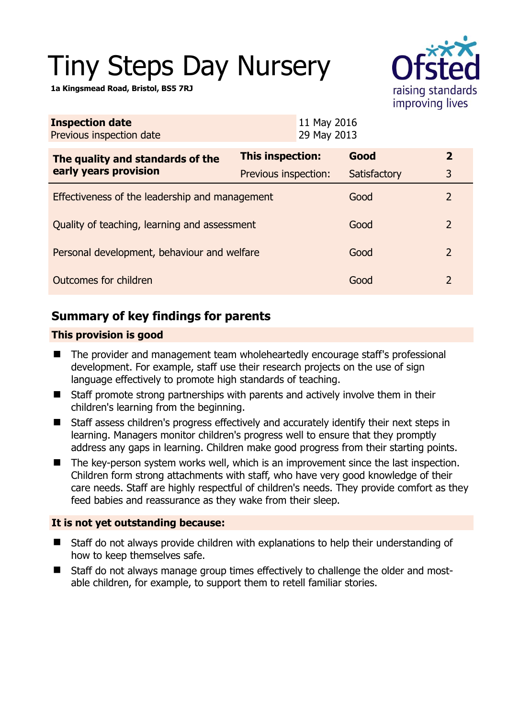# Tiny Steps Day Nursery

**1a Kingsmead Road, Bristol, BS5 7RJ** 



| <b>Inspection date</b><br>Previous inspection date        |                      | 11 May 2016<br>29 May 2013 |              |                         |
|-----------------------------------------------------------|----------------------|----------------------------|--------------|-------------------------|
| The quality and standards of the<br>early years provision | This inspection:     |                            | Good         | $\overline{\mathbf{2}}$ |
|                                                           | Previous inspection: |                            | Satisfactory | 3                       |
| Effectiveness of the leadership and management            |                      |                            | Good         | 2                       |
| Quality of teaching, learning and assessment              |                      |                            | Good         | 2                       |
| Personal development, behaviour and welfare               |                      |                            | Good         | 2                       |
| Outcomes for children                                     |                      |                            | Good         | 2                       |

# **Summary of key findings for parents**

## **This provision is good**

- The provider and management team wholeheartedly encourage staff's professional development. For example, staff use their research projects on the use of sign language effectively to promote high standards of teaching.
- Staff promote strong partnerships with parents and actively involve them in their children's learning from the beginning.
- Staff assess children's progress effectively and accurately identify their next steps in learning. Managers monitor children's progress well to ensure that they promptly address any gaps in learning. Children make good progress from their starting points.
- The key-person system works well, which is an improvement since the last inspection. Children form strong attachments with staff, who have very good knowledge of their care needs. Staff are highly respectful of children's needs. They provide comfort as they feed babies and reassurance as they wake from their sleep.

## **It is not yet outstanding because:**

- Staff do not always provide children with explanations to help their understanding of how to keep themselves safe.
- Staff do not always manage group times effectively to challenge the older and mostable children, for example, to support them to retell familiar stories.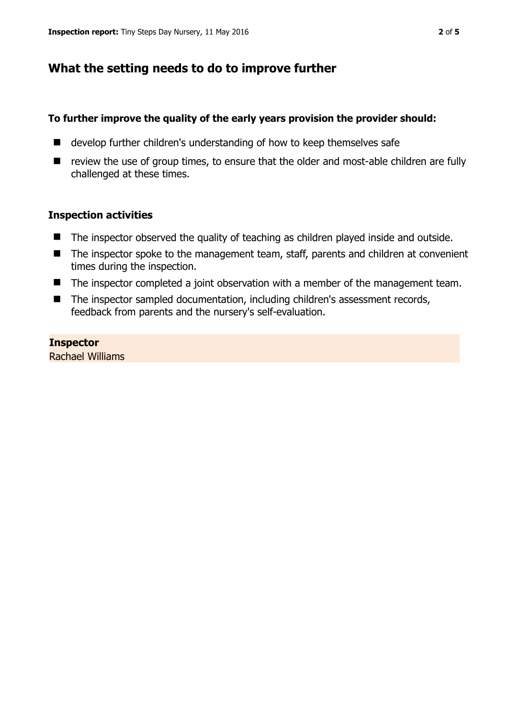# **What the setting needs to do to improve further**

#### **To further improve the quality of the early years provision the provider should:**

- develop further children's understanding of how to keep themselves safe
- review the use of group times, to ensure that the older and most-able children are fully challenged at these times.

#### **Inspection activities**

- The inspector observed the quality of teaching as children played inside and outside.
- The inspector spoke to the management team, staff, parents and children at convenient times during the inspection.
- The inspector completed a joint observation with a member of the management team.
- The inspector sampled documentation, including children's assessment records, feedback from parents and the nursery's self-evaluation.

#### **Inspector**

Rachael Williams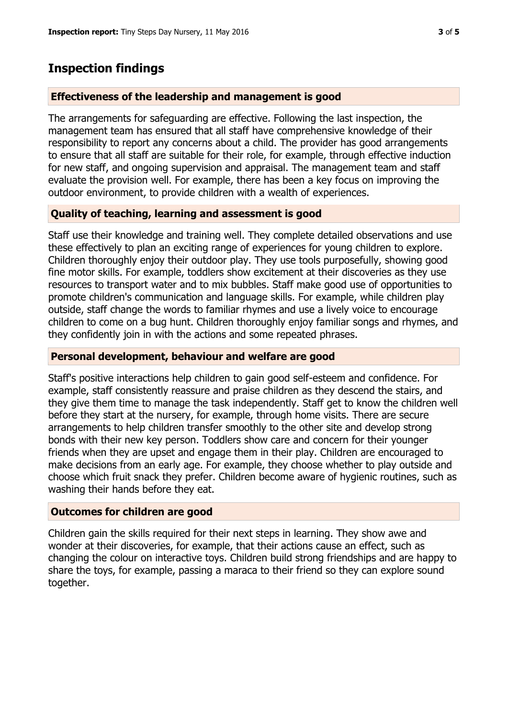## **Inspection findings**

#### **Effectiveness of the leadership and management is good**

The arrangements for safeguarding are effective. Following the last inspection, the management team has ensured that all staff have comprehensive knowledge of their responsibility to report any concerns about a child. The provider has good arrangements to ensure that all staff are suitable for their role, for example, through effective induction for new staff, and ongoing supervision and appraisal. The management team and staff evaluate the provision well. For example, there has been a key focus on improving the outdoor environment, to provide children with a wealth of experiences.

#### **Quality of teaching, learning and assessment is good**

Staff use their knowledge and training well. They complete detailed observations and use these effectively to plan an exciting range of experiences for young children to explore. Children thoroughly enjoy their outdoor play. They use tools purposefully, showing good fine motor skills. For example, toddlers show excitement at their discoveries as they use resources to transport water and to mix bubbles. Staff make good use of opportunities to promote children's communication and language skills. For example, while children play outside, staff change the words to familiar rhymes and use a lively voice to encourage children to come on a bug hunt. Children thoroughly enjoy familiar songs and rhymes, and they confidently join in with the actions and some repeated phrases.

#### **Personal development, behaviour and welfare are good**

Staff's positive interactions help children to gain good self-esteem and confidence. For example, staff consistently reassure and praise children as they descend the stairs, and they give them time to manage the task independently. Staff get to know the children well before they start at the nursery, for example, through home visits. There are secure arrangements to help children transfer smoothly to the other site and develop strong bonds with their new key person. Toddlers show care and concern for their younger friends when they are upset and engage them in their play. Children are encouraged to make decisions from an early age. For example, they choose whether to play outside and choose which fruit snack they prefer. Children become aware of hygienic routines, such as washing their hands before they eat.

#### **Outcomes for children are good**

Children gain the skills required for their next steps in learning. They show awe and wonder at their discoveries, for example, that their actions cause an effect, such as changing the colour on interactive toys. Children build strong friendships and are happy to share the toys, for example, passing a maraca to their friend so they can explore sound together.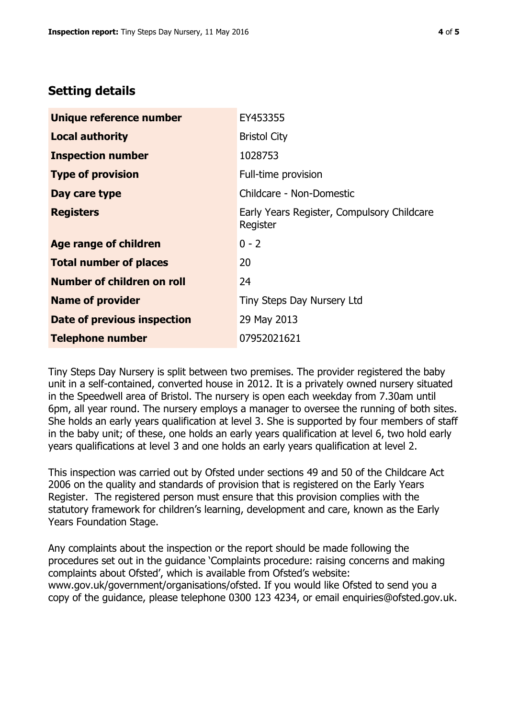# **Setting details**

| Unique reference number            | EY453355                                               |  |
|------------------------------------|--------------------------------------------------------|--|
| <b>Local authority</b>             | <b>Bristol City</b>                                    |  |
| <b>Inspection number</b>           | 1028753                                                |  |
| <b>Type of provision</b>           | Full-time provision                                    |  |
| Day care type                      | Childcare - Non-Domestic                               |  |
| <b>Registers</b>                   | Early Years Register, Compulsory Childcare<br>Register |  |
| <b>Age range of children</b>       | $0 - 2$                                                |  |
| <b>Total number of places</b>      | 20                                                     |  |
| <b>Number of children on roll</b>  | 24                                                     |  |
| <b>Name of provider</b>            | Tiny Steps Day Nursery Ltd                             |  |
| <b>Date of previous inspection</b> | 29 May 2013                                            |  |
| <b>Telephone number</b>            | 07952021621                                            |  |

Tiny Steps Day Nursery is split between two premises. The provider registered the baby unit in a self-contained, converted house in 2012. It is a privately owned nursery situated in the Speedwell area of Bristol. The nursery is open each weekday from 7.30am until 6pm, all year round. The nursery employs a manager to oversee the running of both sites. She holds an early years qualification at level 3. She is supported by four members of staff in the baby unit; of these, one holds an early years qualification at level 6, two hold early years qualifications at level 3 and one holds an early years qualification at level 2.

This inspection was carried out by Ofsted under sections 49 and 50 of the Childcare Act 2006 on the quality and standards of provision that is registered on the Early Years Register. The registered person must ensure that this provision complies with the statutory framework for children's learning, development and care, known as the Early Years Foundation Stage.

Any complaints about the inspection or the report should be made following the procedures set out in the guidance 'Complaints procedure: raising concerns and making complaints about Ofsted', which is available from Ofsted's website: www.gov.uk/government/organisations/ofsted. If you would like Ofsted to send you a copy of the guidance, please telephone 0300 123 4234, or email enquiries@ofsted.gov.uk.